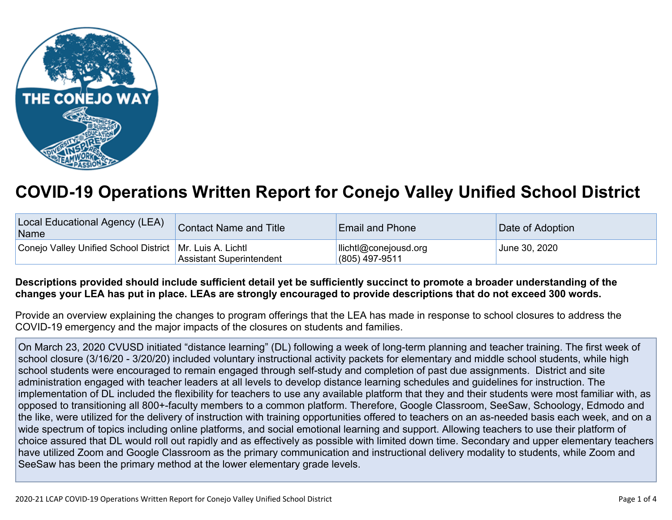

## **COVID-19 Operations Written Report for Conejo Valley Unified School District**

| Local Educational Agency (LEA)<br><b>Name</b>              | Contact Name and Title          | <b>Email and Phone</b>                    | Date of Adoption |
|------------------------------------------------------------|---------------------------------|-------------------------------------------|------------------|
| Conejo Valley Unified School District   Mr. Luis A. Lichtl | <b>Assistant Superintendent</b> | llichtl@conejousd.org<br>$(805)$ 497-9511 | June 30, 2020    |

## Descriptions provided should include sufficient detail yet be sufficiently succinct to promote a broader understanding of the changes your LEA has put in place. LEAs are strongly encouraged to provide descriptions that do not exceed 300 words.

Provide an overview explaining the changes to program offerings that the LEA has made in response to school closures to address the COVID-19 emergency and the major impacts of the closures on students and families.

On March 23, 2020 CVUSD initiated "distance learning" (DL) following a week of long-term planning and teacher training. The first week of school closure (3/16/20 - 3/20/20) included voluntary instructional activity packets for elementary and middle school students, while high school students were encouraged to remain engaged through self-study and completion of past due assignments. District and site administration engaged with teacher leaders at all levels to develop distance learning schedules and guidelines for instruction. The implementation of DL included the flexibility for teachers to use any available platform that they and their students were most familiar with, as opposed to transitioning all 800+-faculty members to a common platform. Therefore, Google Classroom, SeeSaw, Schoology, Edmodo and the like, were utilized for the delivery of instruction with training opportunities offered to teachers on an as-needed basis each week, and on a wide spectrum of topics including online platforms, and social emotional learning and support. Allowing teachers to use their platform of choice assured that DL would roll out rapidly and as effectively as possible with limited down time. Secondary and upper elementary teachers have utilized Zoom and Google Classroom as the primary communication and instructional delivery modality to students, while Zoom and SeeSaw has been the primary method at the lower elementary grade levels.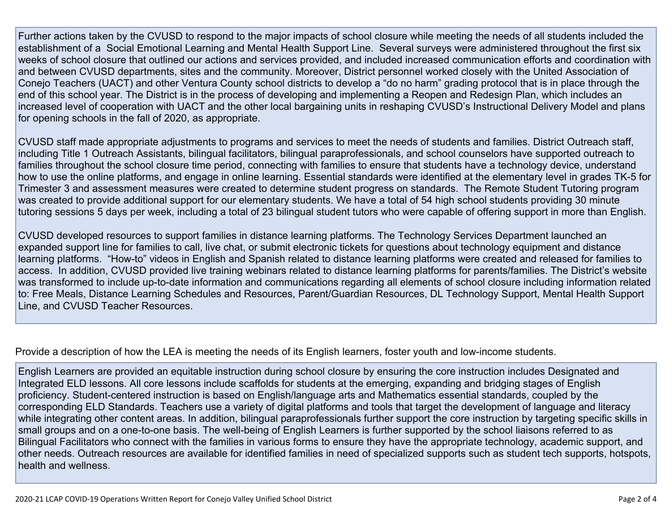Further actions taken by the CVUSD to respond to the major impacts of school closure while meeting the needs of all students included the establishment of a Social Emotional Learning and Mental Health Support Line. Several surveys were administered throughout the first six weeks of school closure that outlined our actions and services provided, and included increased communication efforts and coordination with and between CVUSD departments, sites and the community. Moreover, District personnel worked closely with the United Association of Conejo Teachers (UACT) and other Ventura County school districts to develop a "do no harm" grading protocol that is in place through the end of this school year. The District is in the process of developing and implementing a Reopen and Redesign Plan, which includes an increased level of cooperation with UACT and the other local bargaining units in reshaping CVUSD's Instructional Delivery Model and plans for opening schools in the fall of 2020, as appropriate.

CVUSD staff made appropriate adjustments to programs and services to meet the needs of students and families. District Outreach staff, including Title 1 Outreach Assistants, bilingual facilitators, bilingual paraprofessionals, and school counselors have supported outreach to families throughout the school closure time period, connecting with families to ensure that students have a technology device, understand how to use the online platforms, and engage in online learning. Essential standards were identified at the elementary level in grades TK-5 for Trimester 3 and assessment measures were created to determine student progress on standards. The Remote Student Tutoring program was created to provide additional support for our elementary students. We have a total of 54 high school students providing 30 minute tutoring sessions 5 days per week, including a total of 23 bilingual student tutors who were capable of offering support in more than English.

CVUSD developed resources to support families in distance learning platforms. The Technology Services Department launched an expanded support line for families to call, live chat, or submit electronic tickets for questions about technology equipment and distance learning platforms. "How-to" videos in English and Spanish related to distance learning platforms were created and released for families to access. In addition, CVUSD provided live training webinars related to distance learning platforms for parents/families. The District's website was transformed to include up-to-date information and communications regarding all elements of school closure including information related to: Free Meals, Distance Learning Schedules and Resources, Parent/Guardian Resources, DL Technology Support, Mental Health Support Line, and CVUSD Teacher Resources.

Provide a description of how the LEA is meeting the needs of its English learners, foster youth and low-income students.

English Learners are provided an equitable instruction during school closure by ensuring the core instruction includes Designated and Integrated ELD lessons. All core lessons include scaffolds for students at the emerging, expanding and bridging stages of English proficiency. Student-centered instruction is based on English/language arts and Mathematics essential standards, coupled by the corresponding ELD Standards. Teachers use a variety of digital platforms and tools that target the development of language and literacy while integrating other content areas. In addition, bilingual paraprofessionals further support the core instruction by targeting specific skills in small groups and on a one-to-one basis. The well-being of English Learners is further supported by the school liaisons referred to as Bilingual Facilitators who connect with the families in various forms to ensure they have the appropriate technology, academic support, and other needs. Outreach resources are available for identified families in need of specialized supports such as student tech supports, hotspots, health and wellness.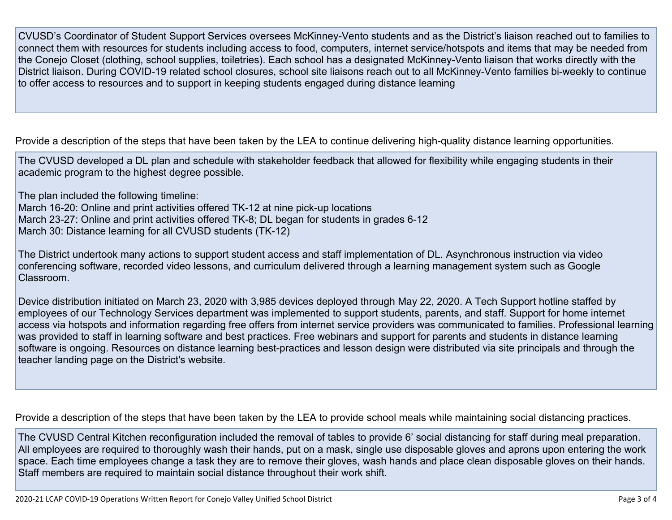CVUSD's Coordinator of Student Support Services oversees McKinney-Vento students and as the District's liaison reached out to families to connect them with resources for students including access to food, computers, internet service/hotspots and items that may be needed from the Conejo Closet (clothing, school supplies, toiletries). Each school has a designated McKinney-Vento liaison that works directly with the District liaison. During COVID-19 related school closures, school site liaisons reach out to all McKinney-Vento families bi-weekly to continue to offer access to resources and to support in keeping students engaged during distance learning

Provide a description of the steps that have been taken by the LEA to continue delivering high-quality distance learning opportunities.

The CVUSD developed a DL plan and schedule with stakeholder feedback that allowed for flexibility while engaging students in their academic program to the highest degree possible.

The plan included the following timeline: March 16-20: Online and print activities offered TK-12 at nine pick-up locations March 23-27: Online and print activities offered TK-8; DL began for students in grades 6-12 March 30: Distance learning for all CVUSD students (TK-12)

The District undertook many actions to support student access and staff implementation of DL. Asynchronous instruction via video conferencing software, recorded video lessons, and curriculum delivered through a learning management system such as Google Classroom.

Device distribution initiated on March 23, 2020 with 3,985 devices deployed through May 22, 2020. A Tech Support hotline staffed by employees of our Technology Services department was implemented to support students, parents, and staff. Support for home internet access via hotspots and information regarding free offers from internet service providers was communicated to families. Professional learning was provided to staff in learning software and best practices. Free webinars and support for parents and students in distance learning software is ongoing. Resources on distance learning best-practices and lesson design were distributed via site principals and through the teacher landing page on the District's website.

Provide a description of the steps that have been taken by the LEA to provide school meals while maintaining social distancing practices.

The CVUSD Central Kitchen reconfiguration included the removal of tables to provide 6' social distancing for staff during meal preparation. All employees are required to thoroughly wash their hands, put on a mask, single use disposable gloves and aprons upon entering the work space. Each time employees change a task they are to remove their gloves, wash hands and place clean disposable gloves on their hands. Staff members are required to maintain social distance throughout their work shift.